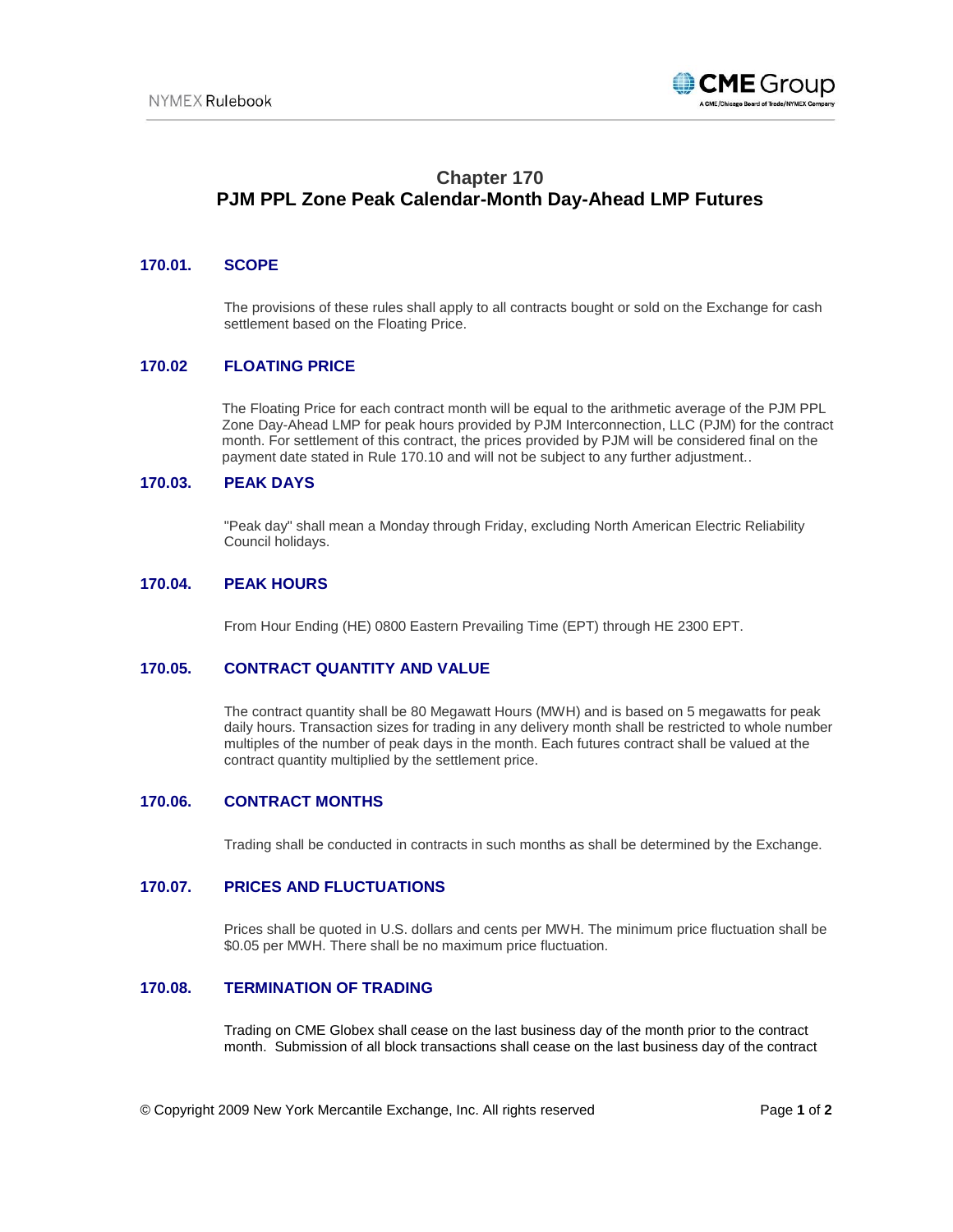

# **Chapter 170 PJM PPL Zone Peak Calendar-Month Day-Ahead LMP Futures**

### **170.01. SCOPE**

The provisions of these rules shall apply to all contracts bought or sold on the Exchange for cash settlement based on the Floating Price.

#### **170.02 FLOATING PRICE**

The Floating Price for each contract month will be equal to the arithmetic average of the PJM PPL Zone Day-Ahead LMP for peak hours provided by PJM Interconnection, LLC (PJM) for the contract month. For settlement of this contract, the prices provided by PJM will be considered final on the payment date stated in Rule 170.10 and will not be subject to any further adjustment..

### **170.03. PEAK DAYS**

"Peak day" shall mean a Monday through Friday, excluding North American Electric Reliability Council holidays.

#### **170.04. PEAK HOURS**

From Hour Ending (HE) 0800 Eastern Prevailing Time (EPT) through HE 2300 EPT.

## **170.05. CONTRACT QUANTITY AND VALUE**

The contract quantity shall be 80 Megawatt Hours (MWH) and is based on 5 megawatts for peak daily hours. Transaction sizes for trading in any delivery month shall be restricted to whole number multiples of the number of peak days in the month. Each futures contract shall be valued at the contract quantity multiplied by the settlement price.

#### **170.06. CONTRACT MONTHS**

Trading shall be conducted in contracts in such months as shall be determined by the Exchange.

#### **170.07. PRICES AND FLUCTUATIONS**

Prices shall be quoted in U.S. dollars and cents per MWH. The minimum price fluctuation shall be \$0.05 per MWH. There shall be no maximum price fluctuation.

### **170.08. TERMINATION OF TRADING**

Trading on CME Globex shall cease on the last business day of the month prior to the contract month. Submission of all block transactions shall cease on the last business day of the contract

© Copyright 2009 New York Mercantile Exchange, Inc. All rights reserved Page **1** of **2**